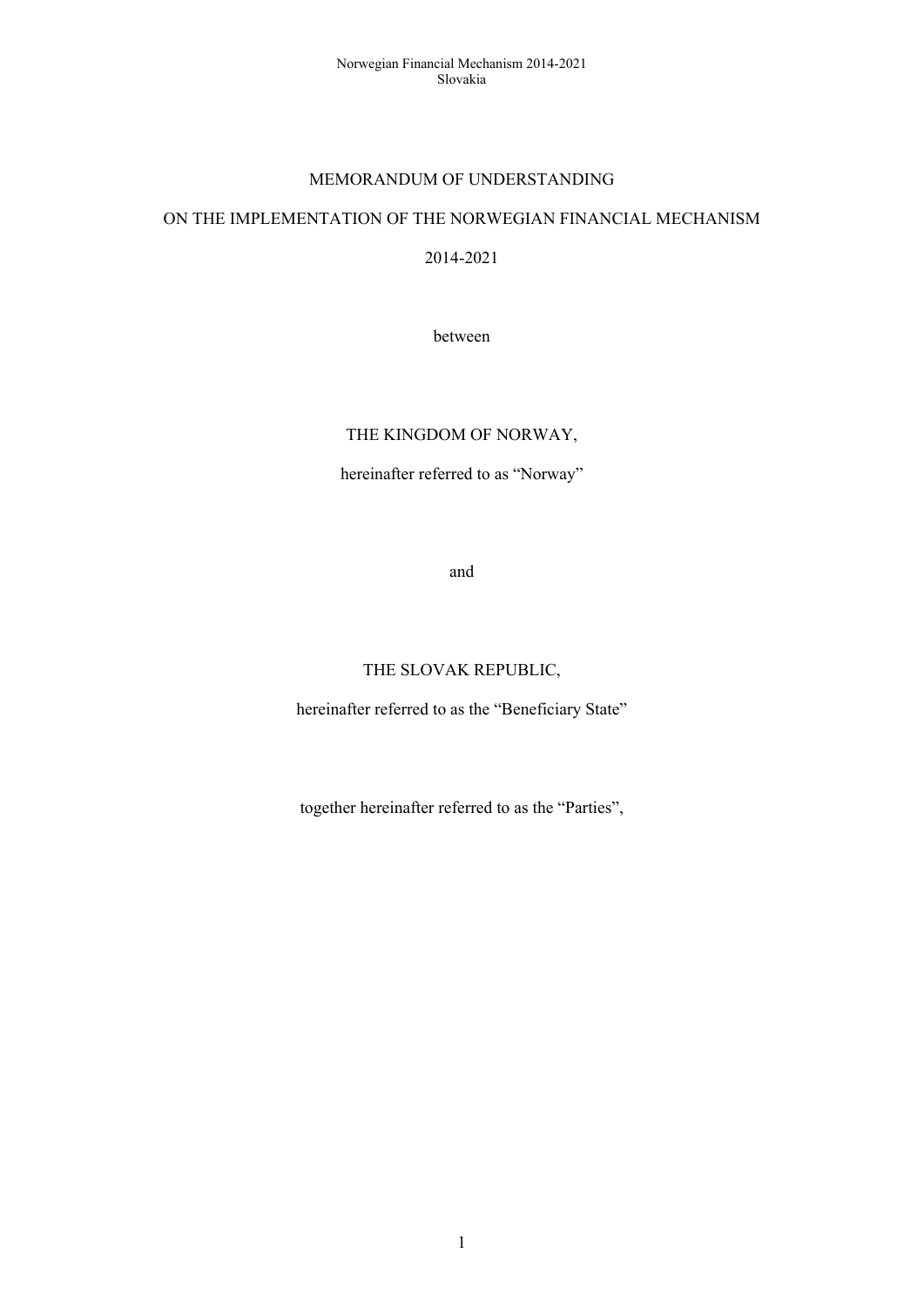#### MEMORANDUM OF UNDERSTANDING

#### ON THE IMPLEMENTATION OF THE NORWEGIAN FINANCIAL MECHANISM

2014-2021

between

# THE KINGDOM OF NORWAY,

hereinafter referred to as "Norway"

and

## THE SLOVAK REPUBLIC,

hereinafter referred to as the "Beneficiary State"

together hereinafter referred to as the "Parties",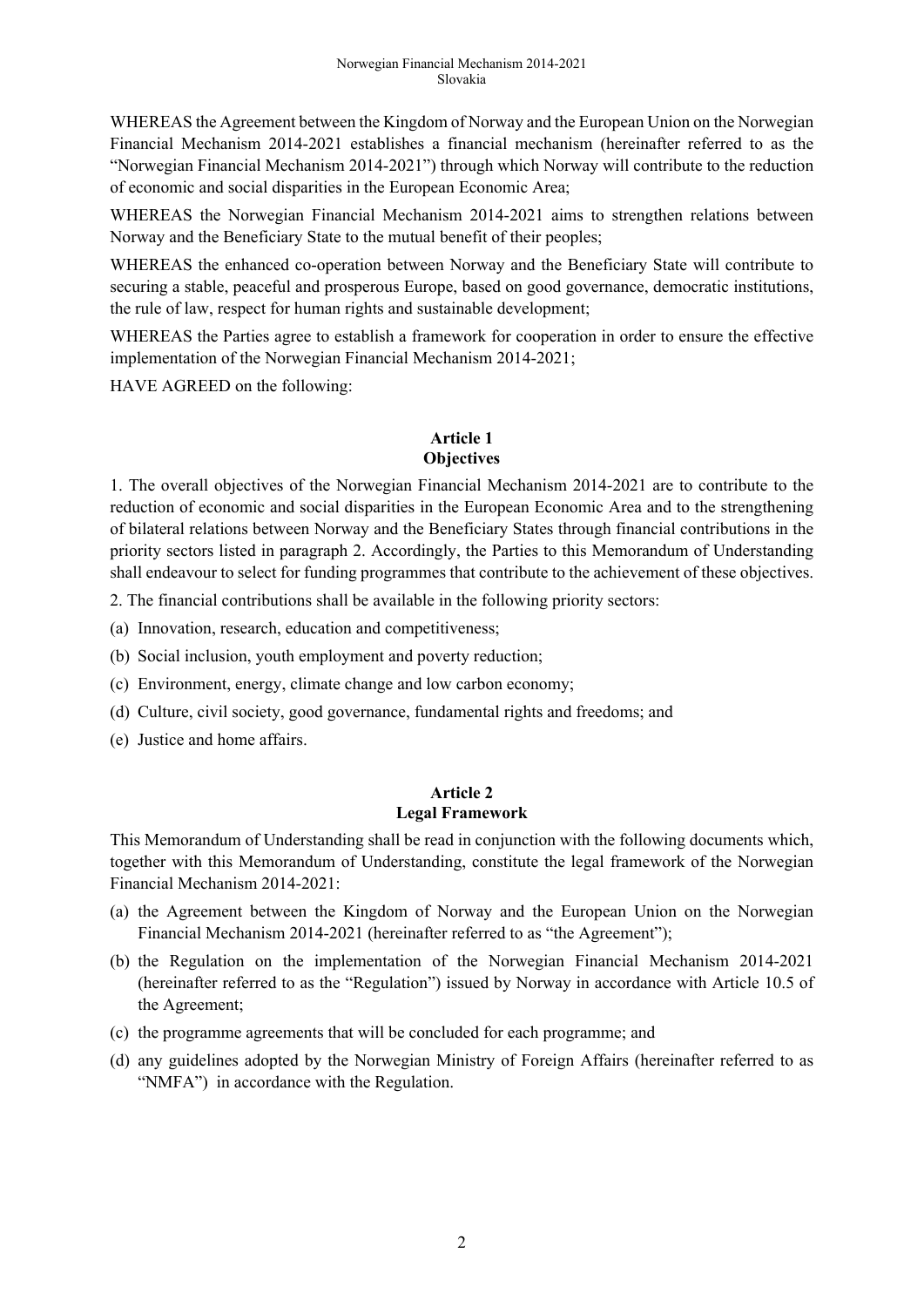WHEREAS the Agreement between the Kingdom of Norway and the European Union on the Norwegian Financial Mechanism 2014-2021 establishes a financial mechanism (hereinafter referred to as the "Norwegian Financial Mechanism 2014-2021") through which Norway will contribute to the reduction of economic and social disparities in the European Economic Area;

WHEREAS the Norwegian Financial Mechanism 2014-2021 aims to strengthen relations between Norway and the Beneficiary State to the mutual benefit of their peoples;

WHEREAS the enhanced co-operation between Norway and the Beneficiary State will contribute to securing a stable, peaceful and prosperous Europe, based on good governance, democratic institutions, the rule of law, respect for human rights and sustainable development;

WHEREAS the Parties agree to establish a framework for cooperation in order to ensure the effective implementation of the Norwegian Financial Mechanism 2014-2021;

HAVE AGREED on the following:

#### **Article 1 Objectives**

1. The overall objectives of the Norwegian Financial Mechanism 2014-2021 are to contribute to the reduction of economic and social disparities in the European Economic Area and to the strengthening of bilateral relations between Norway and the Beneficiary States through financial contributions in the priority sectors listed in paragraph 2. Accordingly, the Parties to this Memorandum of Understanding shall endeavour to select for funding programmes that contribute to the achievement of these objectives.

2. The financial contributions shall be available in the following priority sectors:

(a) Innovation, research, education and competitiveness;

- (b) Social inclusion, youth employment and poverty reduction;
- (c) Environment, energy, climate change and low carbon economy;
- (d) Culture, civil society, good governance, fundamental rights and freedoms; and
- (e) Justice and home affairs.

# **Article 2 Legal Framework**

This Memorandum of Understanding shall be read in conjunction with the following documents which, together with this Memorandum of Understanding, constitute the legal framework of the Norwegian Financial Mechanism 2014-2021:

- (a) the Agreement between the Kingdom of Norway and the European Union on the Norwegian Financial Mechanism 2014-2021 (hereinafter referred to as "the Agreement");
- (b) the Regulation on the implementation of the Norwegian Financial Mechanism 2014-2021 (hereinafter referred to as the "Regulation") issued by Norway in accordance with Article 10.5 of the Agreement;
- (c) the programme agreements that will be concluded for each programme; and
- (d) any guidelines adopted by the Norwegian Ministry of Foreign Affairs (hereinafter referred to as "NMFA") in accordance with the Regulation.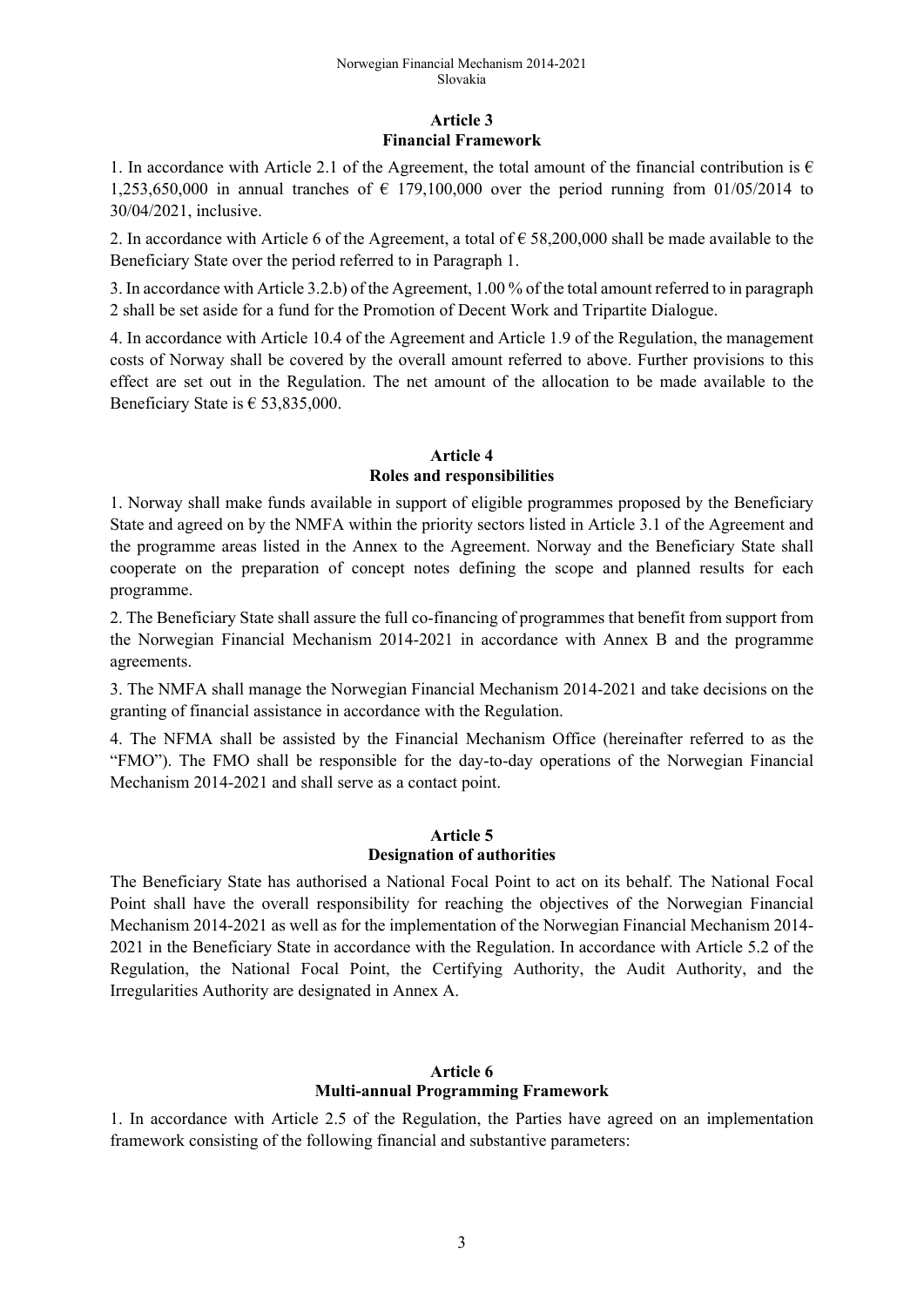## **Article 3 Financial Framework**

1. In accordance with Article 2.1 of the Agreement, the total amount of the financial contribution is  $\epsilon$ 1,253,650,000 in annual tranches of  $\epsilon$  179,100,000 over the period running from 01/05/2014 to 30/04/2021, inclusive.

2. In accordance with Article 6 of the Agreement, a total of  $\epsilon$  58,200,000 shall be made available to the Beneficiary State over the period referred to in Paragraph 1.

3. In accordance with Article 3.2.b) of the Agreement, 1.00 % of the total amount referred to in paragraph 2 shall be set aside for a fund for the Promotion of Decent Work and Tripartite Dialogue.

4. In accordance with Article 10.4 of the Agreement and Article 1.9 of the Regulation, the management costs of Norway shall be covered by the overall amount referred to above. Further provisions to this effect are set out in the Regulation. The net amount of the allocation to be made available to the Beneficiary State is  $\epsilon$  53,835,000.

# **Article 4 Roles and responsibilities**

1. Norway shall make funds available in support of eligible programmes proposed by the Beneficiary State and agreed on by the NMFA within the priority sectors listed in Article 3.1 of the Agreement and the programme areas listed in the Annex to the Agreement. Norway and the Beneficiary State shall cooperate on the preparation of concept notes defining the scope and planned results for each programme.

2. The Beneficiary State shall assure the full co-financing of programmes that benefit from support from the Norwegian Financial Mechanism 2014-2021 in accordance with Annex B and the programme agreements.

3. The NMFA shall manage the Norwegian Financial Mechanism 2014-2021 and take decisions on the granting of financial assistance in accordance with the Regulation.

4. The NFMA shall be assisted by the Financial Mechanism Office (hereinafter referred to as the "FMO"). The FMO shall be responsible for the day-to-day operations of the Norwegian Financial Mechanism 2014-2021 and shall serve as a contact point.

#### **Article 5 Designation of authorities**

The Beneficiary State has authorised a National Focal Point to act on its behalf. The National Focal Point shall have the overall responsibility for reaching the objectives of the Norwegian Financial Mechanism 2014-2021 as well as for the implementation of the Norwegian Financial Mechanism 2014- 2021 in the Beneficiary State in accordance with the Regulation. In accordance with Article 5.2 of the Regulation, the National Focal Point, the Certifying Authority, the Audit Authority, and the Irregularities Authority are designated in Annex A.

## **Article 6 Multi-annual Programming Framework**

1. In accordance with Article 2.5 of the Regulation, the Parties have agreed on an implementation framework consisting of the following financial and substantive parameters: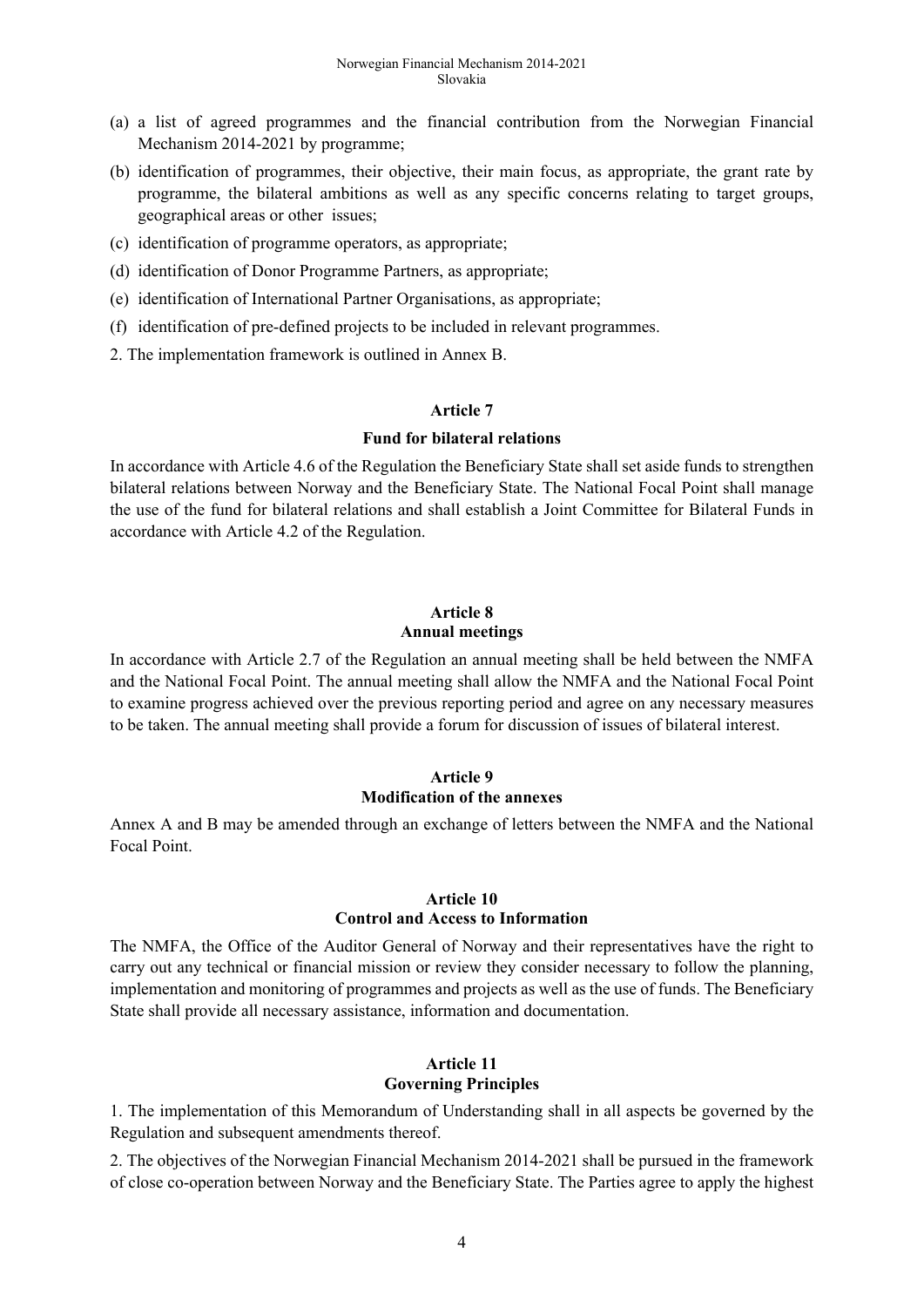- (a) a list of agreed programmes and the financial contribution from the Norwegian Financial Mechanism 2014-2021 by programme;
- (b) identification of programmes, their objective, their main focus, as appropriate, the grant rate by programme, the bilateral ambitions as well as any specific concerns relating to target groups, geographical areas or other issues;
- (c) identification of programme operators, as appropriate;
- (d) identification of Donor Programme Partners, as appropriate;
- (e) identification of International Partner Organisations, as appropriate;
- (f) identification of pre-defined projects to be included in relevant programmes.
- 2. The implementation framework is outlined in Annex B.

#### **Article 7**

#### **Fund for bilateral relations**

In accordance with Article 4.6 of the Regulation the Beneficiary State shall set aside funds to strengthen bilateral relations between Norway and the Beneficiary State. The National Focal Point shall manage the use of the fund for bilateral relations and shall establish a Joint Committee for Bilateral Funds in accordance with Article 4.2 of the Regulation.

## **Article 8 Annual meetings**

In accordance with Article 2.7 of the Regulation an annual meeting shall be held between the NMFA and the National Focal Point. The annual meeting shall allow the NMFA and the National Focal Point to examine progress achieved over the previous reporting period and agree on any necessary measures to be taken. The annual meeting shall provide a forum for discussion of issues of bilateral interest.

#### **Article 9 Modification of the annexes**

Annex A and B may be amended through an exchange of letters between the NMFA and the National Focal Point.

#### **Article 10 Control and Access to Information**

The NMFA, the Office of the Auditor General of Norway and their representatives have the right to carry out any technical or financial mission or review they consider necessary to follow the planning, implementation and monitoring of programmes and projects as well as the use of funds. The Beneficiary State shall provide all necessary assistance, information and documentation.

# **Article 11 Governing Principles**

1. The implementation of this Memorandum of Understanding shall in all aspects be governed by the Regulation and subsequent amendments thereof.

2. The objectives of the Norwegian Financial Mechanism 2014-2021 shall be pursued in the framework of close co-operation between Norway and the Beneficiary State. The Parties agree to apply the highest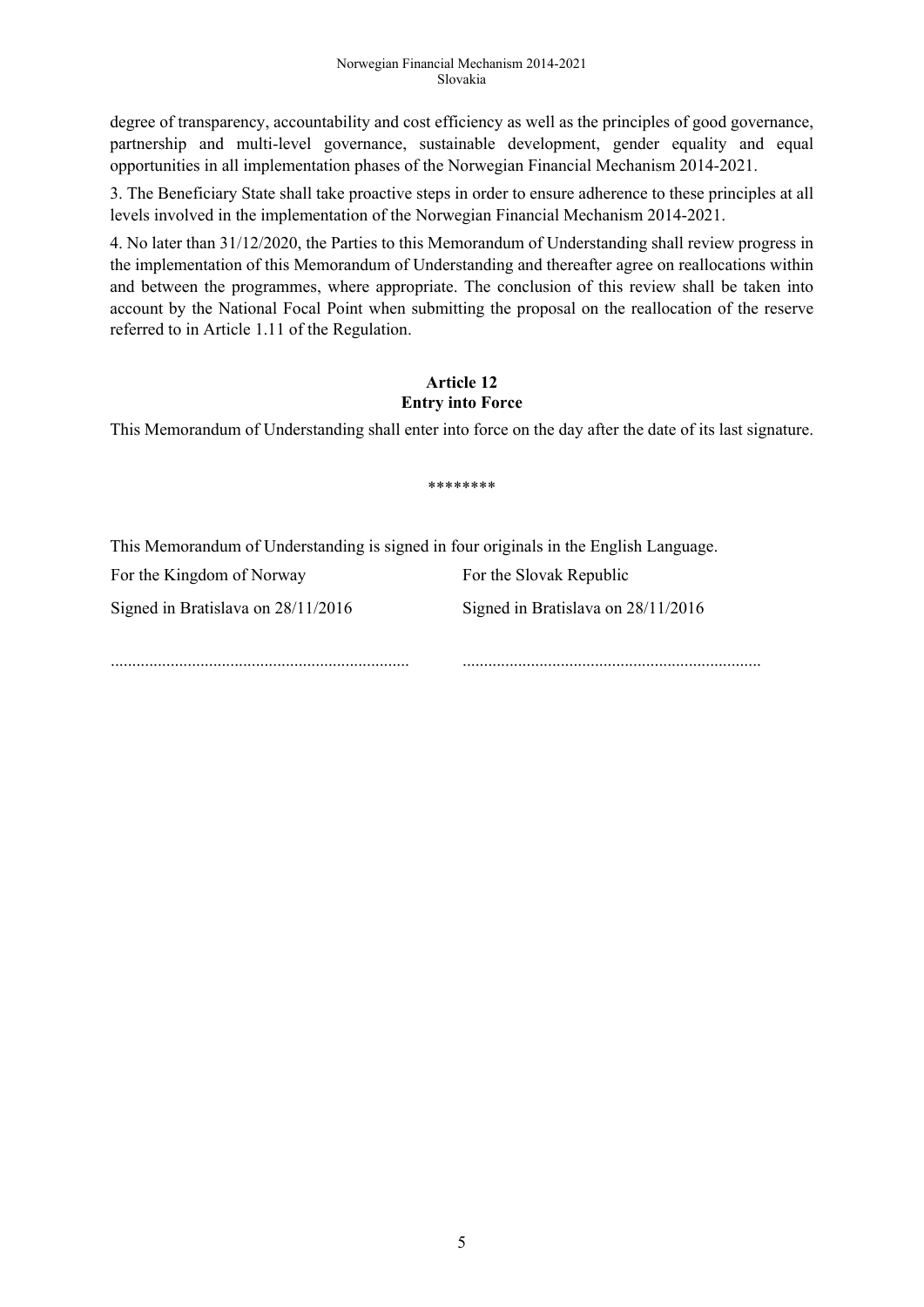degree of transparency, accountability and cost efficiency as well as the principles of good governance, partnership and multi-level governance, sustainable development, gender equality and equal opportunities in all implementation phases of the Norwegian Financial Mechanism 2014-2021.

3. The Beneficiary State shall take proactive steps in order to ensure adherence to these principles at all levels involved in the implementation of the Norwegian Financial Mechanism 2014-2021.

4. No later than 31/12/2020, the Parties to this Memorandum of Understanding shall review progress in the implementation of this Memorandum of Understanding and thereafter agree on reallocations within and between the programmes, where appropriate. The conclusion of this review shall be taken into account by the National Focal Point when submitting the proposal on the reallocation of the reserve referred to in Article 1.11 of the Regulation.

## **Article 12 Entry into Force**

This Memorandum of Understanding shall enter into force on the day after the date of its last signature.

\*\*\*\*\*\*\*\*

This Memorandum of Understanding is signed in four originals in the English Language.

For the Kingdom of Norway For the Slovak Republic Signed in Bratislava on 28/11/2016 Signed in Bratislava on 28/11/2016 ...................................................................... ......................................................................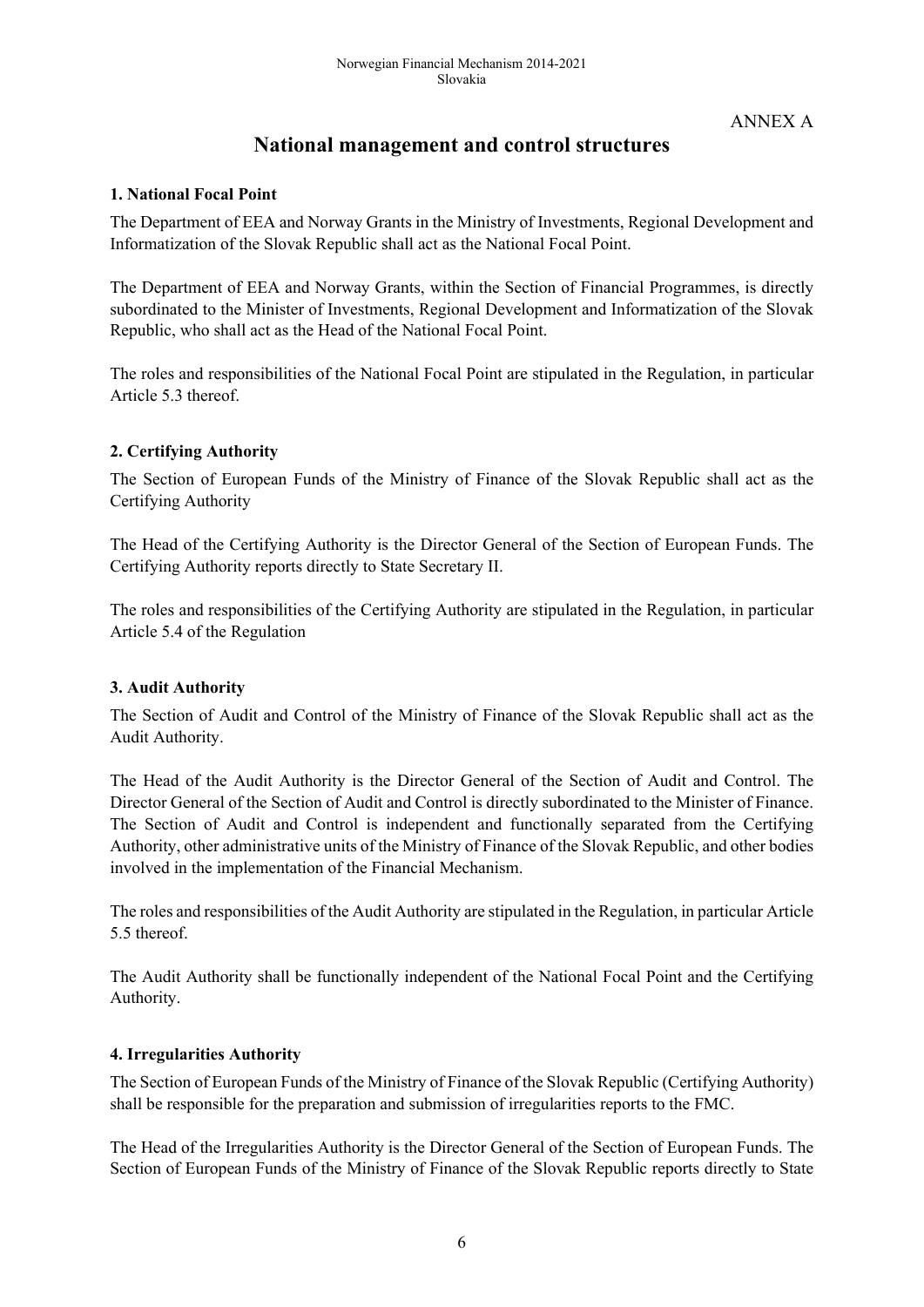ANNEX A

# **National management and control structures**

## **1. National Focal Point**

The Department of EEA and Norway Grants in the Ministry of Investments, Regional Development and Informatization of the Slovak Republic shall act as the National Focal Point.

The Department of EEA and Norway Grants, within the Section of Financial Programmes, is directly subordinated to the Minister of Investments, Regional Development and Informatization of the Slovak Republic, who shall act as the Head of the National Focal Point.

The roles and responsibilities of the National Focal Point are stipulated in the Regulation, in particular Article 5.3 thereof.

# **2. Certifying Authority**

The Section of European Funds of the Ministry of Finance of the Slovak Republic shall act as the Certifying Authority

The Head of the Certifying Authority is the Director General of the Section of European Funds. The Certifying Authority reports directly to State Secretary II.

The roles and responsibilities of the Certifying Authority are stipulated in the Regulation, in particular Article 5.4 of the Regulation

## **3. Audit Authority**

The Section of Audit and Control of the Ministry of Finance of the Slovak Republic shall act as the Audit Authority.

The Head of the Audit Authority is the Director General of the Section of Audit and Control. The Director General of the Section of Audit and Control is directly subordinated to the Minister of Finance. The Section of Audit and Control is independent and functionally separated from the Certifying Authority, other administrative units of the Ministry of Finance of the Slovak Republic, and other bodies involved in the implementation of the Financial Mechanism.

The roles and responsibilities of the Audit Authority are stipulated in the Regulation, in particular Article 5.5 thereof.

The Audit Authority shall be functionally independent of the National Focal Point and the Certifying Authority.

## **4. Irregularities Authority**

The Section of European Funds of the Ministry of Finance of the Slovak Republic (Certifying Authority) shall be responsible for the preparation and submission of irregularities reports to the FMC.

The Head of the Irregularities Authority is the Director General of the Section of European Funds. The Section of European Funds of the Ministry of Finance of the Slovak Republic reports directly to State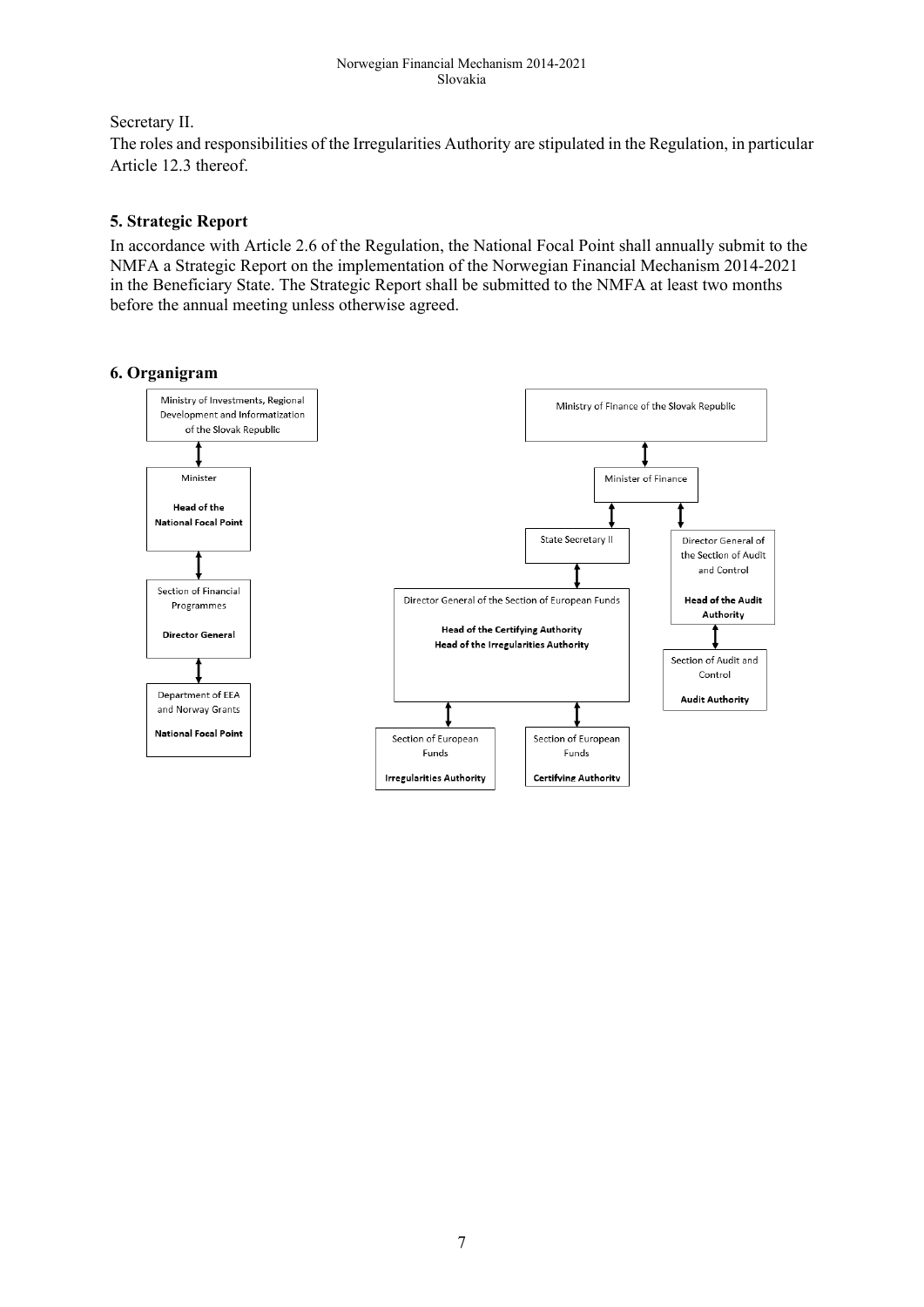# Secretary II.

The roles and responsibilities of the Irregularities Authority are stipulated in the Regulation, in particular Article 12.3 thereof.

# **5. Strategic Report**

In accordance with Article 2.6 of the Regulation, the National Focal Point shall annually submit to the NMFA a Strategic Report on the implementation of the Norwegian Financial Mechanism 2014-2021 in the Beneficiary State. The Strategic Report shall be submitted to the NMFA at least two months before the annual meeting unless otherwise agreed.

# **6. Organigram**

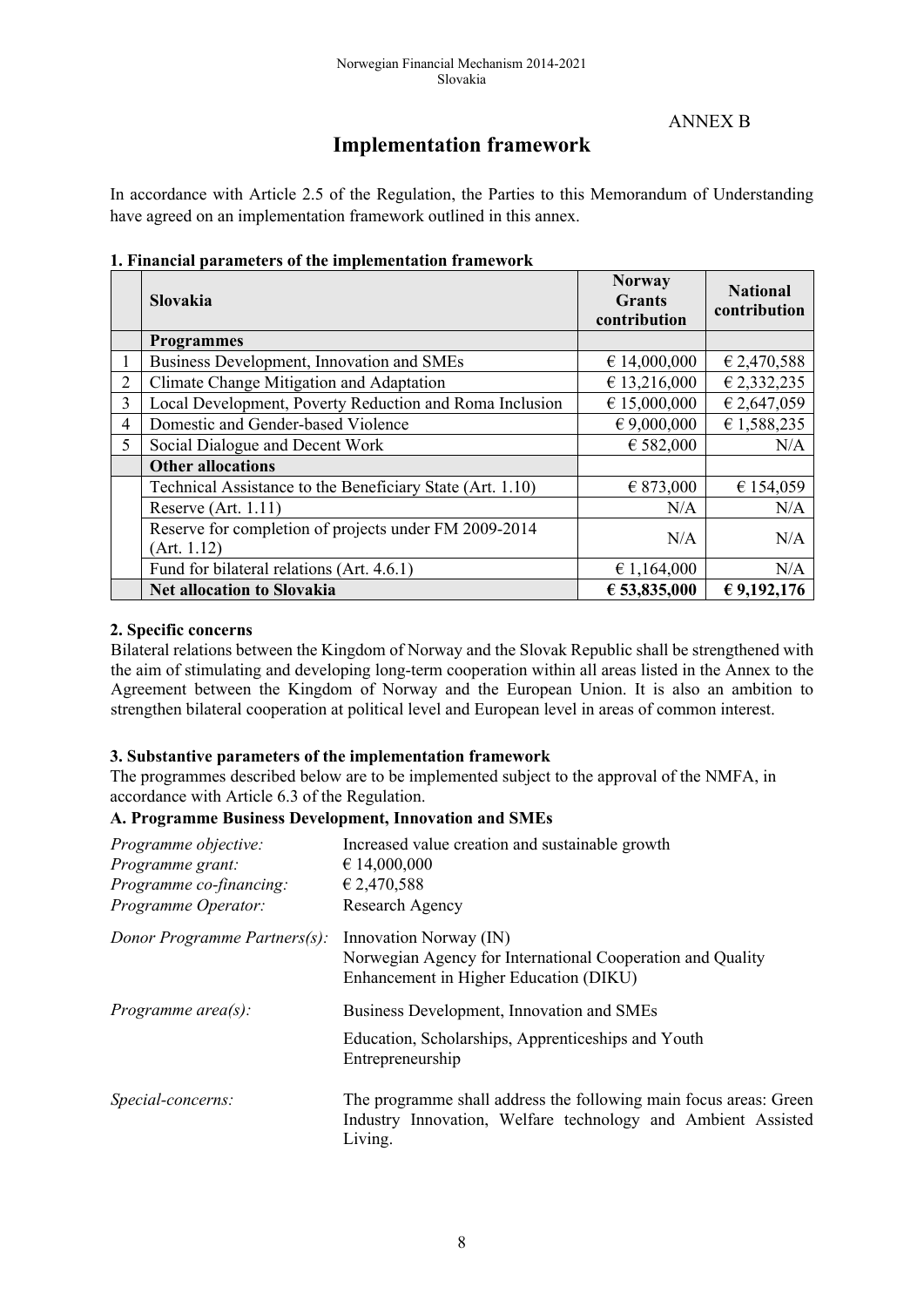## ANNEX B

# **Implementation framework**

In accordance with Article 2.5 of the Regulation, the Parties to this Memorandum of Understanding have agreed on an implementation framework outlined in this annex.

#### **1. Financial parameters of the implementation framework**

|                | <b>Slovakia</b>                                                      | <b>Norway</b><br><b>Grants</b><br>contribution | <b>National</b><br>contribution |
|----------------|----------------------------------------------------------------------|------------------------------------------------|---------------------------------|
|                | <b>Programmes</b>                                                    |                                                |                                 |
| L              | Business Development, Innovation and SMEs                            | € 14,000,000                                   | € 2,470,588                     |
| 2              | Climate Change Mitigation and Adaptation                             | € 13,216,000                                   | € 2,332,235                     |
| 3              | Local Development, Poverty Reduction and Roma Inclusion              | € 15,000,000                                   | € 2,647,059                     |
| $\overline{4}$ | Domestic and Gender-based Violence                                   | $\in 9,000,000$                                | € 1,588,235                     |
| 5              | Social Dialogue and Decent Work                                      | € 582,000                                      | N/A                             |
|                | <b>Other allocations</b>                                             |                                                |                                 |
|                | Technical Assistance to the Beneficiary State (Art. 1.10)            | € 873,000                                      | € 154,059                       |
|                | Reserve (Art. 1.11)                                                  | N/A                                            | N/A                             |
|                | Reserve for completion of projects under FM 2009-2014<br>(Art. 1.12) | N/A                                            | N/A                             |
|                | Fund for bilateral relations (Art. 4.6.1)                            | $\epsilon$ 1,164,000                           | N/A                             |
|                | <b>Net allocation to Slovakia</b>                                    | € 53,835,000                                   | € 9,192,176                     |

#### **2. Specific concerns**

Bilateral relations between the Kingdom of Norway and the Slovak Republic shall be strengthened with the aim of stimulating and developing long-term cooperation within all areas listed in the Annex to the Agreement between the Kingdom of Norway and the European Union. It is also an ambition to strengthen bilateral cooperation at political level and European level in areas of common interest.

#### **3. Substantive parameters of the implementation framework**

The programmes described below are to be implemented subject to the approval of the NMFA, in accordance with Article 6.3 of the Regulation.

#### **A. Programme Business Development, Innovation and SMEs**

| Programme objective:<br>Programme grant:<br>Programme co-financing:<br>Programme Operator: | Increased value creation and sustainable growth<br>$\epsilon$ 14,000,000<br>€ 2,470,588<br>Research Agency                                   |
|--------------------------------------------------------------------------------------------|----------------------------------------------------------------------------------------------------------------------------------------------|
| Donor Programme Partners(s):                                                               | Innovation Norway (IN)<br>Norwegian Agency for International Cooperation and Quality<br>Enhancement in Higher Education (DIKU)               |
| Programme $area(s)$ :                                                                      | Business Development, Innovation and SMEs<br>Education, Scholarships, Apprenticeships and Youth<br>Entrepreneurship                          |
| Special-concerns:                                                                          | The programme shall address the following main focus areas: Green<br>Industry Innovation, Welfare technology and Ambient Assisted<br>Living. |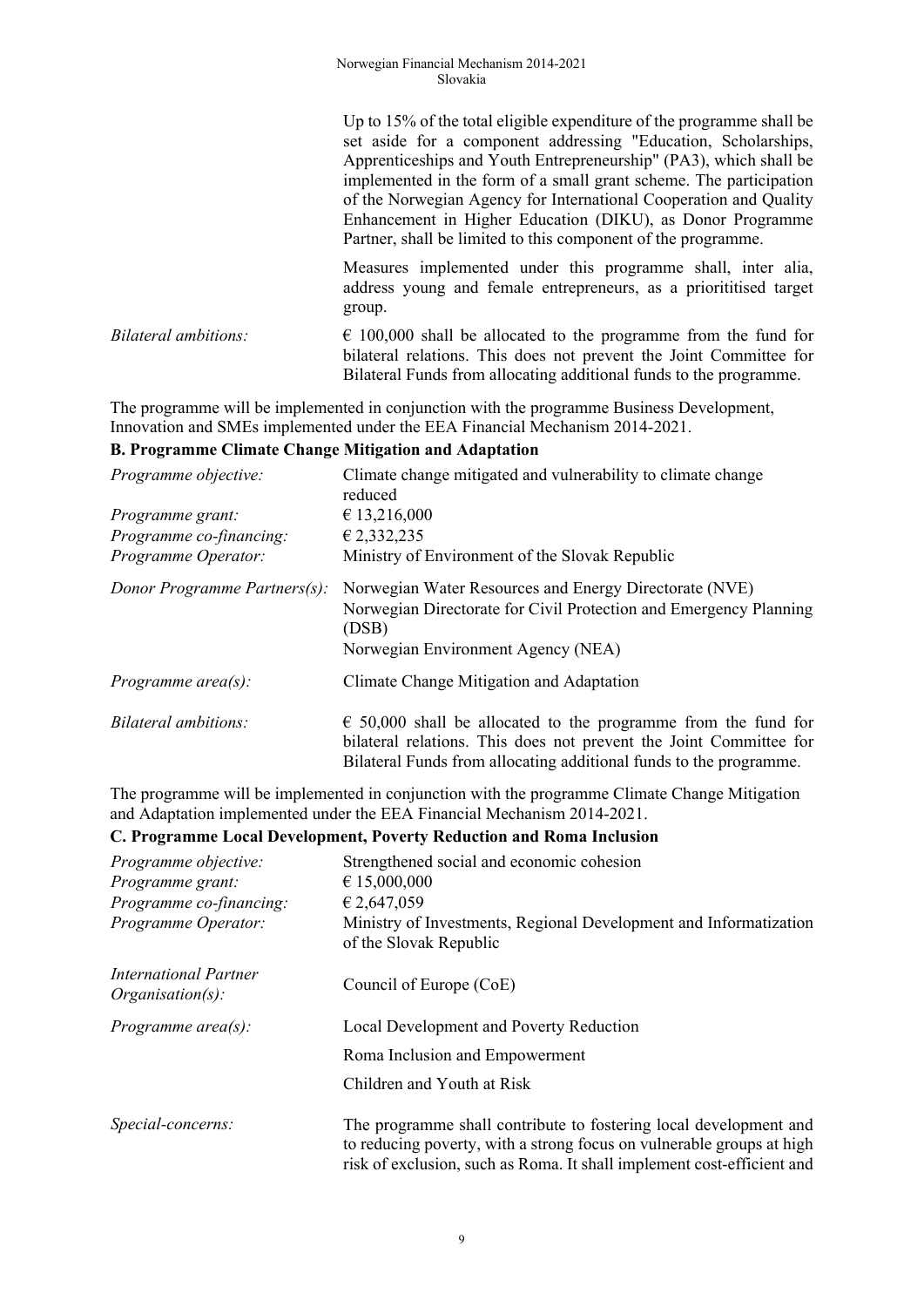|                      | Up to 15% of the total eligible expenditure of the programme shall be<br>set aside for a component addressing "Education, Scholarships,<br>Apprenticeships and Youth Entrepreneurship" (PA3), which shall be<br>implemented in the form of a small grant scheme. The participation<br>of the Norwegian Agency for International Cooperation and Quality<br>Enhancement in Higher Education (DIKU), as Donor Programme<br>Partner, shall be limited to this component of the programme. |  |
|----------------------|----------------------------------------------------------------------------------------------------------------------------------------------------------------------------------------------------------------------------------------------------------------------------------------------------------------------------------------------------------------------------------------------------------------------------------------------------------------------------------------|--|
|                      | Measures implemented under this programme shall, inter alia,<br>address young and female entrepreneurs, as a priorititised target<br>group.                                                                                                                                                                                                                                                                                                                                            |  |
| Bilateral ambitions: | $\epsilon$ 100,000 shall be allocated to the programme from the fund for<br>bilateral relations. This does not prevent the Joint Committee for<br>Bilateral Funds from allocating additional funds to the programme.                                                                                                                                                                                                                                                                   |  |

The programme will be implemented in conjunction with the programme Business Development, Innovation and SMEs implemented under the EEA Financial Mechanism 2014-2021.

#### **B. Programme Climate Change Mitigation and Adaptation**

| Programme objective:         | Climate change mitigated and vulnerability to climate change<br>reduced                                                                                                                                             |
|------------------------------|---------------------------------------------------------------------------------------------------------------------------------------------------------------------------------------------------------------------|
| Programme grant:             | € 13,216,000                                                                                                                                                                                                        |
| Programme co-financing:      | € 2,332,235                                                                                                                                                                                                         |
| Programme Operator:          | Ministry of Environment of the Slovak Republic                                                                                                                                                                      |
| Donor Programme Partners(s): | Norwegian Water Resources and Energy Directorate (NVE)<br>Norwegian Directorate for Civil Protection and Emergency Planning<br>(DSB)<br>Norwegian Environment Agency (NEA)                                          |
| Programme $area(s)$ :        | Climate Change Mitigation and Adaptation                                                                                                                                                                            |
| Bilateral ambitions:         | $\epsilon$ 50,000 shall be allocated to the programme from the fund for<br>bilateral relations. This does not prevent the Joint Committee for<br>Bilateral Funds from allocating additional funds to the programme. |

The programme will be implemented in conjunction with the programme Climate Change Mitigation and Adaptation implemented under the EEA Financial Mechanism 2014-2021.

#### **C. Programme Local Development, Poverty Reduction and Roma Inclusion**

| Programme objective:                         | Strengthened social and economic cohesion                                                                                                                                                                            |
|----------------------------------------------|----------------------------------------------------------------------------------------------------------------------------------------------------------------------------------------------------------------------|
| Programme grant:                             | € 15,000,000                                                                                                                                                                                                         |
| Programme co-financing:                      | € 2,647,059                                                                                                                                                                                                          |
| Programme Operator:                          | Ministry of Investments, Regional Development and Informatization<br>of the Slovak Republic                                                                                                                          |
| International Partner<br>$Organisation(s)$ : | Council of Europe (CoE)                                                                                                                                                                                              |
| Programme area $(s)$ :                       | Local Development and Poverty Reduction                                                                                                                                                                              |
|                                              | Roma Inclusion and Empowerment                                                                                                                                                                                       |
|                                              | Children and Youth at Risk                                                                                                                                                                                           |
| Special-concerns:                            | The programme shall contribute to fostering local development and<br>to reducing poverty, with a strong focus on vulnerable groups at high<br>risk of exclusion, such as Roma. It shall implement cost-efficient and |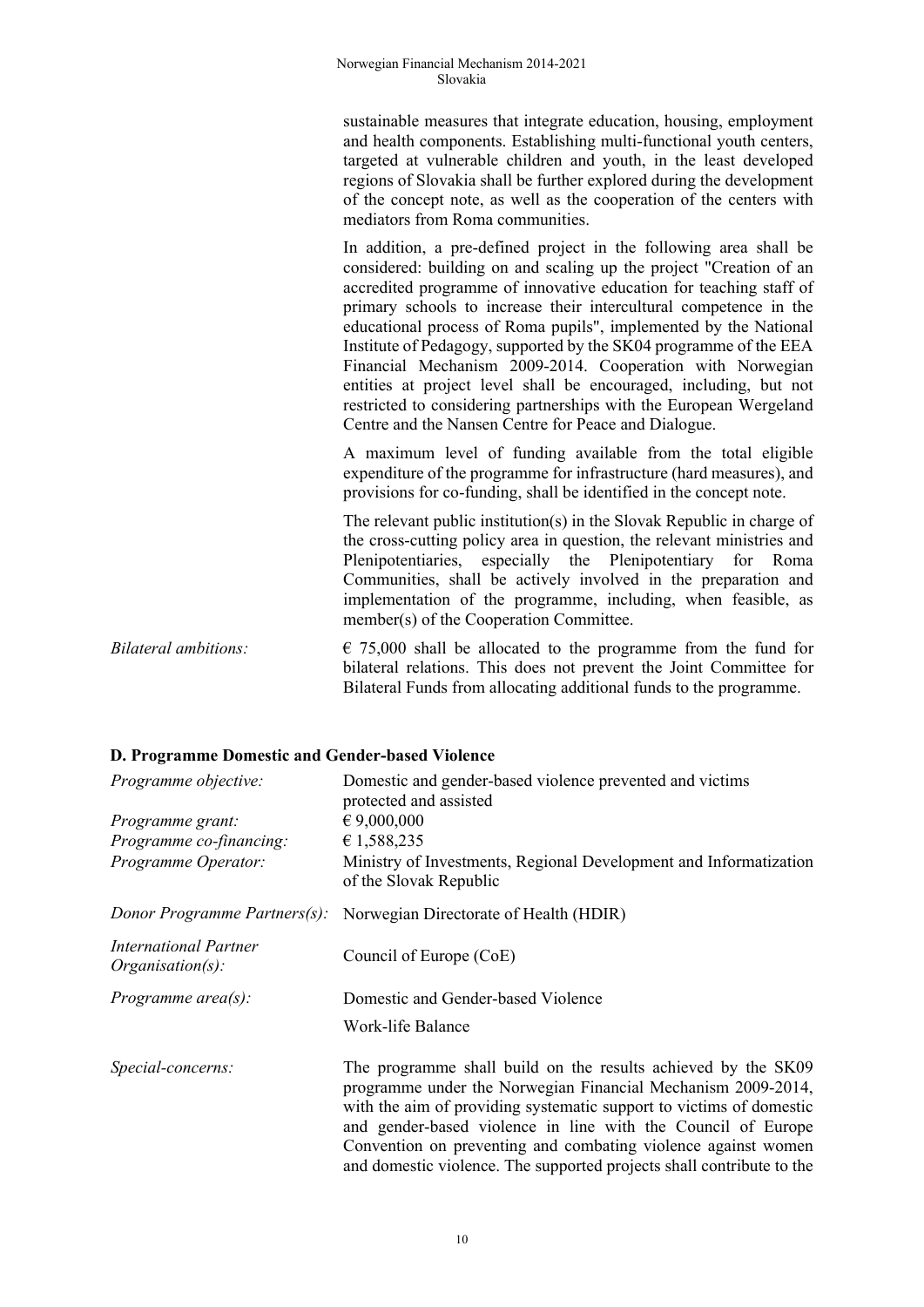sustainable measures that integrate education, housing, employment and health components. Establishing multi-functional youth centers, targeted at vulnerable children and youth, in the least developed regions of Slovakia shall be further explored during the development of the concept note, as well as the cooperation of the centers with mediators from Roma communities.

In addition, a pre-defined project in the following area shall be considered: building on and scaling up the project "Creation of an accredited programme of innovative education for teaching staff of primary schools to increase their intercultural competence in the educational process of Roma pupils", implemented by the National Institute of Pedagogy, supported by the SK04 programme of the EEA Financial Mechanism 2009-2014. Cooperation with Norwegian entities at project level shall be encouraged, including, but not restricted to considering partnerships with the European Wergeland Centre and the Nansen Centre for Peace and Dialogue.

A maximum level of funding available from the total eligible expenditure of the programme for infrastructure (hard measures), and provisions for co-funding, shall be identified in the concept note.

The relevant public institution(s) in the Slovak Republic in charge of the cross-cutting policy area in question, the relevant ministries and Plenipotentiaries, especially the Plenipotentiary for Roma Communities, shall be actively involved in the preparation and implementation of the programme, including, when feasible, as member(s) of the Cooperation Committee.

*Bilateral ambitions:*  $\epsilon$  75,000 shall be allocated to the programme from the fund for bilateral relations. This does not prevent the Joint Committee for Bilateral Funds from allocating additional funds to the programme.

#### **D. Programme Domestic and Gender-based Violence**

| Programme objective:<br>Programme grant:<br>Programme co-financing:<br>Programme Operator: | Domestic and gender-based violence prevented and victims<br>protected and assisted<br>$\epsilon$ 9,000,000<br>€ 1,588,235<br>Ministry of Investments, Regional Development and Informatization<br>of the Slovak Republic                                                                                                                                                                                       |
|--------------------------------------------------------------------------------------------|----------------------------------------------------------------------------------------------------------------------------------------------------------------------------------------------------------------------------------------------------------------------------------------------------------------------------------------------------------------------------------------------------------------|
| Donor Programme Partners(s):                                                               | Norwegian Directorate of Health (HDIR)                                                                                                                                                                                                                                                                                                                                                                         |
| <b>International Partner</b><br>$Organisation(s)$ :                                        | Council of Europe (CoE)                                                                                                                                                                                                                                                                                                                                                                                        |
| Programme $area(s)$ :                                                                      | Domestic and Gender-based Violence<br>Work-life Balance                                                                                                                                                                                                                                                                                                                                                        |
| Special-concerns:                                                                          | The programme shall build on the results achieved by the SK09<br>programme under the Norwegian Financial Mechanism 2009-2014,<br>with the aim of providing systematic support to victims of domestic<br>and gender-based violence in line with the Council of Europe<br>Convention on preventing and combating violence against women<br>and domestic violence. The supported projects shall contribute to the |